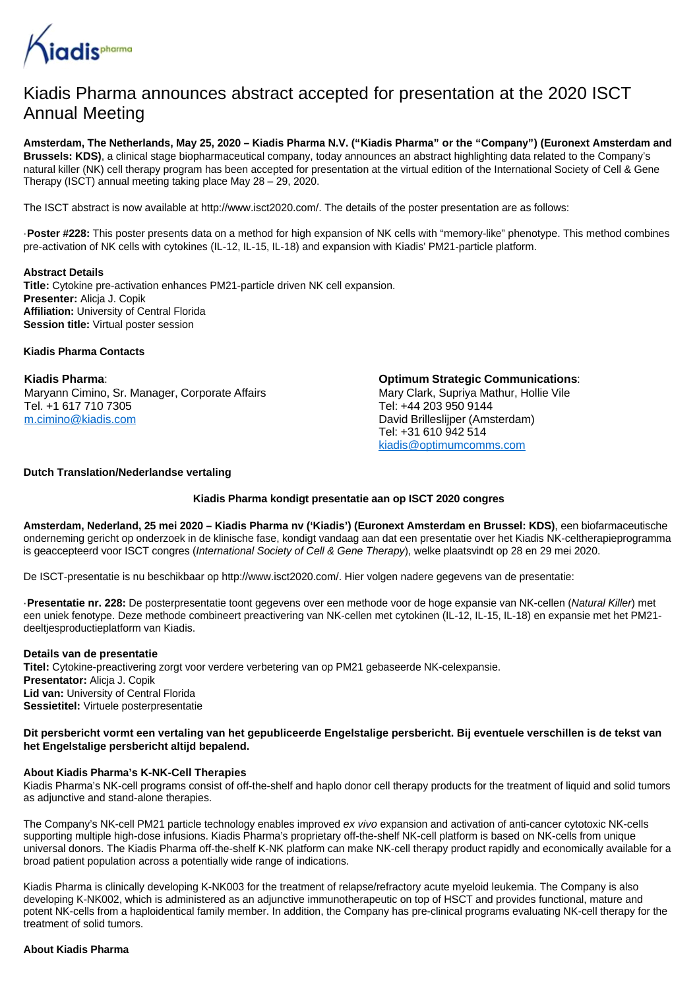

# Kiadis Pharma announces abstract accepted for presentation at the 2020 ISCT Annual Meeting

**Amsterdam, The Netherlands, May 25, 2020 – Kiadis Pharma N.V. ("Kiadis Pharma" or the "Company") (Euronext Amsterdam and Brussels: KDS)**, a clinical stage biopharmaceutical company, today announces an abstract highlighting data related to the Company's natural killer (NK) cell therapy program has been accepted for presentation at the virtual edition of the International Society of Cell & Gene Therapy (ISCT) annual meeting taking place May 28 – 29, 2020.

The ISCT abstract is now available at http://www.isct2020.com/. The details of the poster presentation are as follows:

·**Poster #228:** This poster presents data on a method for high expansion of NK cells with "memory-like" phenotype. This method combines pre-activation of NK cells with cytokines (IL-12, IL-15, IL-18) and expansion with Kiadis' PM21-particle platform.

**Abstract Details**

**Title:** Cytokine pre-activation enhances PM21-particle driven NK cell expansion. **Presenter:** Alicja J. Copik **Affiliation:** University of Central Florida **Session title:** Virtual poster session

**Kiadis Pharma Contacts**

**Kiadis Pharma**: Maryann Cimino, Sr. Manager, Corporate Affairs Tel. +1 617 710 7305 [m.cimino@kiadis.com](mailto:m.cimino@kiadis.com)

**Optimum Strategic Communications**: Mary Clark, Supriya Mathur, Hollie Vile Tel: +44 203 950 9144 David Brilleslijper (Amsterdam) Tel: +31 610 942 514 [kiadis@optimumcomms.com](mailto:kiadis@optimumcomms.com)

## **Dutch Translation/Nederlandse vertaling**

### **Kiadis Pharma kondigt presentatie aan op ISCT 2020 congres**

**Amsterdam, Nederland, 25 mei 2020 – Kiadis Pharma nv ('Kiadis') (Euronext Amsterdam en Brussel: KDS)**, een biofarmaceutische onderneming gericht op onderzoek in de klinische fase, kondigt vandaag aan dat een presentatie over het Kiadis NK-celtherapieprogramma is geaccepteerd voor ISCT congres (International Society of Cell & Gene Therapy), welke plaatsvindt op 28 en 29 mei 2020.

De ISCT-presentatie is nu beschikbaar op http://www.isct2020.com/. Hier volgen nadere gegevens van de presentatie:

·**Presentatie nr. 228:** De posterpresentatie toont gegevens over een methode voor de hoge expansie van NK-cellen (Natural Killer) met een uniek fenotype. Deze methode combineert preactivering van NK-cellen met cytokinen (IL-12, IL-15, IL-18) en expansie met het PM21 deeltjesproductieplatform van Kiadis.

#### **Details van de presentatie**

**Titel:** Cytokine-preactivering zorgt voor verdere verbetering van op PM21 gebaseerde NK-celexpansie. **Presentator: Alicia J. Copik Lid van:** University of Central Florida **Sessietitel:** Virtuele posterpresentatie

### **Dit persbericht vormt een vertaling van het gepubliceerde Engelstalige persbericht. Bij eventuele verschillen is de tekst van het Engelstalige persbericht altijd bepalend.**

### **About Kiadis Pharma's K-NK-Cell Therapies**

Kiadis Pharma's NK-cell programs consist of off-the-shelf and haplo donor cell therapy products for the treatment of liquid and solid tumors as adjunctive and stand-alone therapies.

The Company's NK-cell PM21 particle technology enables improved ex vivo expansion and activation of anti-cancer cytotoxic NK-cells supporting multiple high-dose infusions. Kiadis Pharma's proprietary off-the-shelf NK-cell platform is based on NK-cells from unique universal donors. The Kiadis Pharma off-the-shelf K-NK platform can make NK-cell therapy product rapidly and economically available for a broad patient population across a potentially wide range of indications.

Kiadis Pharma is clinically developing K-NK003 for the treatment of relapse/refractory acute myeloid leukemia. The Company is also developing K-NK002, which is administered as an adjunctive immunotherapeutic on top of HSCT and provides functional, mature and potent NK-cells from a haploidentical family member. In addition, the Company has pre-clinical programs evaluating NK-cell therapy for the treatment of solid tumors.

#### **About Kiadis Pharma**